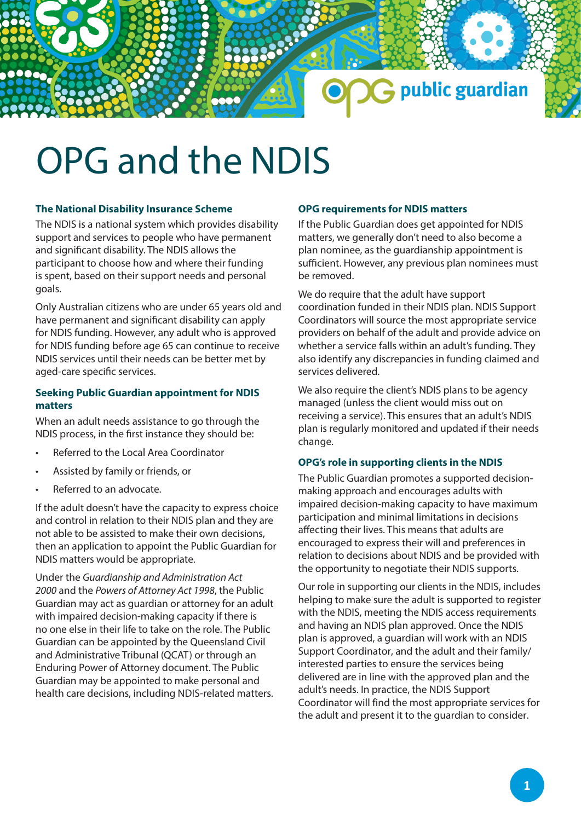

# OPG and the NDIS

## **The National Disability Insurance Scheme**

The NDIS is a national system which provides disability support and services to people who have permanent and significant disability. The NDIS allows the participant to choose how and where their funding is spent, based on their support needs and personal goals.

Only Australian citizens who are under 65 years old and have permanent and significant disability can apply for NDIS funding. However, any adult who is approved for NDIS funding before age 65 can continue to receive NDIS services until their needs can be better met by aged-care specific services.

# **Seeking Public Guardian appointment for NDIS matters**

When an adult needs assistance to go through the NDIS process, in the first instance they should be:

- Referred to the Local Area Coordinator
- Assisted by family or friends, or
- Referred to an advocate.

If the adult doesn't have the capacity to express choice and control in relation to their NDIS plan and they are not able to be assisted to make their own decisions, then an application to appoint the Public Guardian for NDIS matters would be appropriate.

Under the *Guardianship and Administration Act 2000* and the *Powers of Attorney Act 1998*, the Public Guardian may act as guardian or attorney for an adult with impaired decision-making capacity if there is no one else in their life to take on the role. The Public Guardian can be appointed by the Queensland Civil and Administrative Tribunal (QCAT) or through an Enduring Power of Attorney document. The Public Guardian may be appointed to make personal and health care decisions, including NDIS-related matters.

#### **OPG requirements for NDIS matters**

If the Public Guardian does get appointed for NDIS matters, we generally don't need to also become a plan nominee, as the guardianship appointment is sufficient. However, any previous plan nominees must be removed.

We do require that the adult have support coordination funded in their NDIS plan. NDIS Support Coordinators will source the most appropriate service providers on behalf of the adult and provide advice on whether a service falls within an adult's funding. They also identify any discrepancies in funding claimed and services delivered.

We also require the client's NDIS plans to be agency managed (unless the client would miss out on receiving a service). This ensures that an adult's NDIS plan is regularly monitored and updated if their needs change.

## **OPG's role in supporting clients in the NDIS**

The Public Guardian promotes a supported decisionmaking approach and encourages adults with impaired decision-making capacity to have maximum participation and minimal limitations in decisions affecting their lives. This means that adults are encouraged to express their will and preferences in relation to decisions about NDIS and be provided with the opportunity to negotiate their NDIS supports.

Our role in supporting our clients in the NDIS, includes helping to make sure the adult is supported to register with the NDIS, meeting the NDIS access requirements and having an NDIS plan approved. Once the NDIS plan is approved, a guardian will work with an NDIS Support Coordinator, and the adult and their family/ interested parties to ensure the services being delivered are in line with the approved plan and the adult's needs. In practice, the NDIS Support Coordinator will find the most appropriate services for the adult and present it to the guardian to consider.